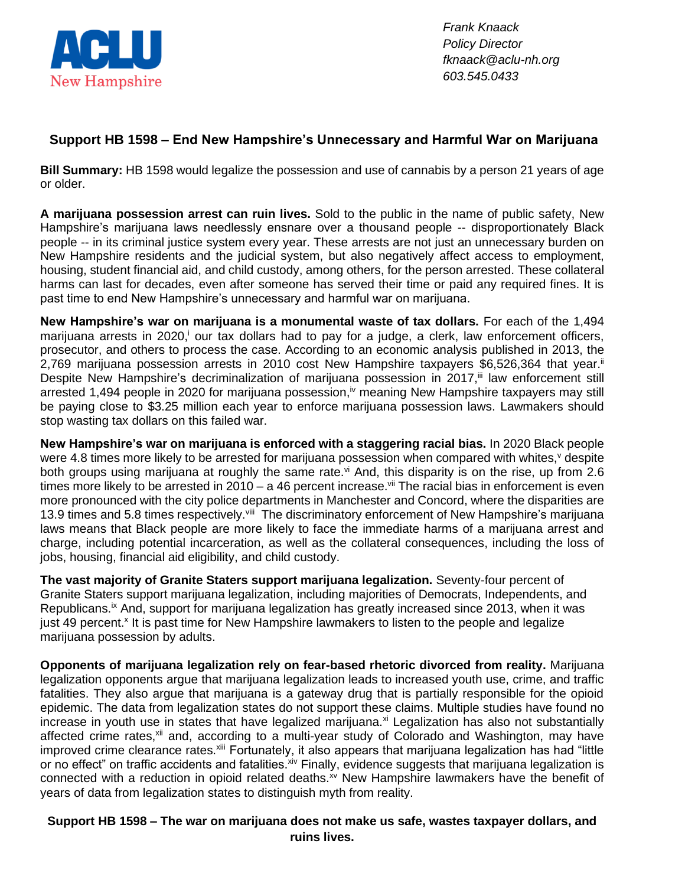

*Frank Knaack Policy Director fknaack@aclu-nh.org 603.545.0433*

## **Support HB 1598 – End New Hampshire's Unnecessary and Harmful War on Marijuana**

**Bill Summary:** HB 1598 would legalize the possession and use of cannabis by a person 21 years of age or older.

**A marijuana possession arrest can ruin lives.** Sold to the public in the name of public safety, New Hampshire's marijuana laws needlessly ensnare over a thousand people -- disproportionately Black people -- in its criminal justice system every year. These arrests are not just an unnecessary burden on New Hampshire residents and the judicial system, but also negatively affect access to employment, housing, student financial aid, and child custody, among others, for the person arrested. These collateral harms can last for decades, even after someone has served their time or paid any required fines. It is past time to end New Hampshire's unnecessary and harmful war on marijuana.

**New Hampshire's war on marijuana is a monumental waste of tax dollars.** For each of the 1,494 marijuana arrests in 2020,<sup>i</sup> our tax dollars had to pay for a judge, a clerk, law enforcement officers, prosecutor, and others to process the case. According to an economic analysis published in 2013, the 2,769 marijuana possession arrests in 2010 cost New Hampshire taxpayers \$6,526,364 that year.<sup>ii</sup> Despite New Hampshire's decriminalization of marijuana possession in 2017,<sup>iii</sup> law enforcement still arrested 1,494 people in 2020 for marijuana possession,<sup>iv</sup> meaning New Hampshire taxpayers may still be paying close to \$3.25 million each year to enforce marijuana possession laws. Lawmakers should stop wasting tax dollars on this failed war.

**New Hampshire's war on marijuana is enforced with a staggering racial bias.** In 2020 Black people were 4.8 times more likely to be arrested for marijuana possession when compared with whites, v despite both groups using marijuana at roughly the same rate.<sup>vi</sup> And, this disparity is on the rise, up from 2.6 times more likely to be arrested in 2010 – a 46 percent increase.<sup>vii</sup> The racial bias in enforcement is even more pronounced with the city police departments in Manchester and Concord, where the disparities are 13.9 times and 5.8 times respectively.<sup>viii</sup> The discriminatory enforcement of New Hampshire's marijuana laws means that Black people are more likely to face the immediate harms of a marijuana arrest and charge, including potential incarceration, as well as the collateral consequences, including the loss of jobs, housing, financial aid eligibility, and child custody.

**The vast majority of Granite Staters support marijuana legalization.** Seventy-four percent of Granite Staters support marijuana legalization, including majorities of Democrats, Independents, and Republicans.<sup>ix</sup> And, support for marijuana legalization has greatly increased since 2013, when it was just 49 percent.<sup>x</sup> It is past time for New Hampshire lawmakers to listen to the people and legalize marijuana possession by adults.

**Opponents of marijuana legalization rely on fear-based rhetoric divorced from reality.** Marijuana legalization opponents argue that marijuana legalization leads to increased youth use, crime, and traffic fatalities. They also argue that marijuana is a gateway drug that is partially responsible for the opioid epidemic. The data from legalization states do not support these claims. Multiple studies have found no increase in youth use in states that have legalized marijuana.<sup>xi</sup> Legalization has also not substantially affected crime rates,<sup>xii</sup> and, according to a multi-year study of Colorado and Washington, may have improved crime clearance rates.<sup>xiii</sup> Fortunately, it also appears that marijuana legalization has had "little or no effect" on traffic accidents and fatalities. $x^iv$  Finally, evidence suggests that marijuana legalization is connected with a reduction in opioid related deaths.<sup>xv</sup> New Hampshire lawmakers have the benefit of years of data from legalization states to distinguish myth from reality.

**Support HB 1598 – The war on marijuana does not make us safe, wastes taxpayer dollars, and ruins lives.**